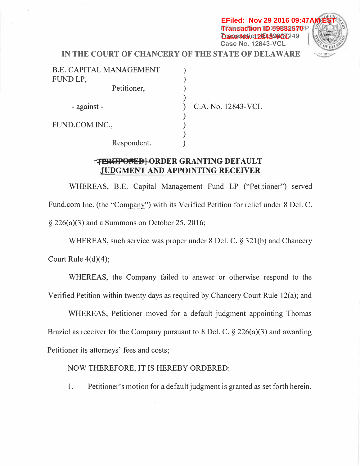**EFiled: Nov 29 2016 09:47A Transaction 15 39882570**P *Case* **No. 12843-VCL<sup>249</sup> (<br>Case No. 12843-VCL** 



**IN THE COURT OF CHANCERY OF THE STATE OF DELAWARE** 

| <b>B.E. CAPITAL MANAGEMENT</b><br>FUND LP, |                    |
|--------------------------------------------|--------------------|
| Petitioner,                                |                    |
| - against -                                | C.A. No. 12843-VCL |
| FUND.COM INC.,                             |                    |
| Respondent.                                |                    |

## **:.{l!lt@t<sup>1</sup> 0813B] ORDER GRANTING DEFAULT JUDGMENT AND APPOINTING RECEIVER**

WHEREAS, B.E. Capital Management Fund LP ("Petitioner") served Fund.com Inc. (the "Company") with its Verified Petition for relief under 8 Del. C.  $\S 226(a)(3)$  and a Summons on October 25, 2016;

WHEREAS, such service was proper under 8 Del. C. § 321(b) and Chancery Court Rule  $4(d)(4)$ ;

WHEREAS, the Company failed to answer or otherwise respond to the Verified Petition within twenty days as required by Chancery Court Rule 12(a); and

WHEREAS, Petitioner moved for a default judgment appointing Thomas Braziel as receiver for the Company pursuant to 8 Del. C.  $\S 226(a)(3)$  and awarding Petitioner its attorneys' fees and costs;

NOW THEREFORE, IT IS HEREBY ORDERED:

1. Petitioner's motion for a default judgment is granted as set forth herein.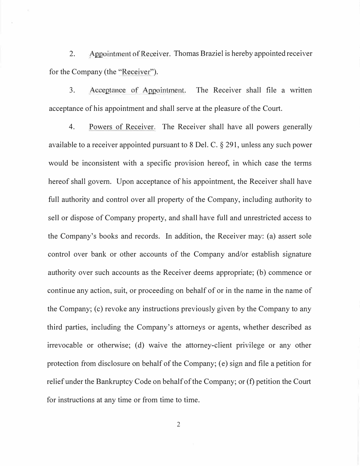2. Appointment of Receiver. Thomas Braziel is hereby appointed receiver for the Company (the "Receiver").

3. Acceptance of Appointment. The Receiver shall file a written acceptance of his appointment and shall serve at the pleasure of the Court.

4. Powers of Receiver. The Receiver shall have all powers generally available to a receiver appointed pursuant to 8 Del. C. § 291, unless any such power would be inconsistent with a specific provision hereof, in which case the terms hereof shall govern. Upon acceptance of his appointment, the Receiver shall have full authority and control over all property of the Company, including authority to sell or dispose of Company property, and shall have full and unrestricted access to the Company's books and records. In addition, the Receiver may: (a) assert sole control over bank or other accounts of the Company and/or establish signature authority over such accounts as the Receiver deems appropriate; (b) commence or continue any action, suit, or proceeding on behalf of or in the name in the name of the Company; (c) revoke any instructions previously given by the Company to any third parties, including the Company's attorneys or agents, whether described as irrevocable or otherwise; (d) waive the attorney-client privilege or any other protection from disclosure on behalf of the Company; ( e) sign and file a petition for relief under the Bankruptcy Code on behalf of the Company; or (f) petition the Court for instructions at any time or from time to time.

2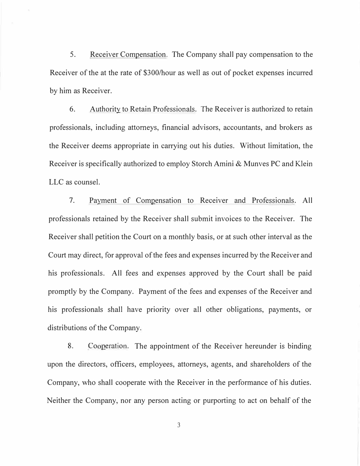5. Receiver Compensation. The Company shall pay compensation to the Receiver of the at the rate of \$300/hour as well as out of pocket expenses incurred by him as Receiver.

6. Authority to Retain Professionals. The Receiver is authorized to retain professionals, including attorneys, financial advisors, accountants, and brokers as the Receiver deems appropriate in carrying out his duties. Without limitation, the Receiver is specifically authorized to employ Storch Amini & Munves PC and Klein LLC as counsel.

7. Payment of Compensation to Receiver and Professionals. All professionals retained by the Receiver shall submit invoices to the Receiver. The Receiver shall petition the Court on a monthly basis, or at such other interval as the Court may direct, for approval of the fees and expenses incurred by the Receiver and his professionals. All fees and expenses approved by the Court shall be paid promptly by the Company. Payment of the fees and expenses of the Receiver and his professionals shall have priority over all other obligations, payments, or distributions of the Company.

8. Cooperation. The appointment of the Receiver hereunder is binding upon the directors, officers, employees, attorneys, agents, and shareholders of the Company, who shall cooperate with the Receiver in the performance of his duties. Neither the Company, nor any person acting or purporting to act on behalf of the

3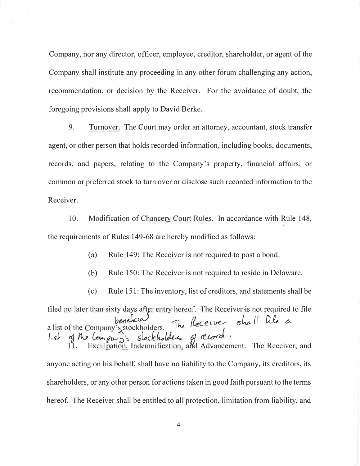Company, nor any director, officer, employee, creditor, shareholder, or agent of the Company shall institute any proceeding in any other forum challenging any action, recommendation, or decision by the Receiver. For the avoidance of doubt, the for*e*g*oin*g *p*r*o*v*i*s*ion*s sh*a*ll *app*ly *to* D*a*v*i*d B*e*rk*e*.

9. Turnover. The Court may order an attorney, accountant, stock transfer agent, or other person that holds recorded information, including books, documents, records, and papers, relating to the Company's property, financial affairs, or common or preferred stock to turn over or disclose such recorded information to the R*ecei*v*e*r.

10. M*o*d*i*fi*cation o*f Chan*c*e1y C*o*urt Rul*e*s. I*n acco*rd*ance* w*it*h Rul*e* 148, *t*h*e* r*e*qu*i*r*e*m*ent*s *o*f Rul*e*s 149-68 *a*r*e* h*e*r*e*by m*o*d*i*fi*e*d *a*s foll*o*ws:

(*a*) Rul*e* 149: Th*e* R*ecei*v*e*r *i*s *not* r*e*qu*i*r*e*d *to po*s*t a* b*on*d.

(b) Rul*e* 150: Th*e* R*ecei*v*e*r *i*s *not* r*e*qu*i*r*e*d *to* r*e*s*i*d*e in* D*e*l*a*w*a*r*e*.

( *c*) Rul*e* 151 : Th*e in*v*ento*ry, l*i*s*t o*f *c*r*e*d*ito*rs, *an*d s*tate*m*ent*s sh*a*ll b*e*  filed no later than sixty days after entry hereof. The Receiver is not required to file *bench*cial *benchcia*<br>a list of the Company's stockholders. The Receiver shall lile a a list of the Company's stockholders. The Receiver Share was a<br>list of the Company's slockholders of record.

anyone acting on his behalf, shall have no liability to the Company, its creditors, its shareholders, or any other person for actions taken in good faith pursuant to the terms hereof. The Receiver shall be entitled to all protection, limitation from liability, and

4